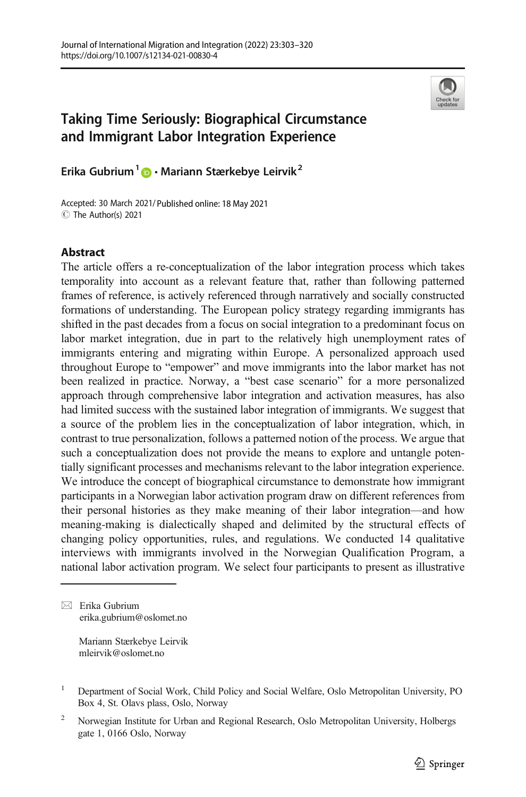

# Taking Time Seriously: Biographical Circumstance and Immigrant Labor Integration Experience

Erika Gubrium<sup>1</sup>  $\bullet$  Mariann Stærkebye Leirvik<sup>2</sup>

Accepted: 30 March 2021/ Published online: 18 May 2021C The Author(s) 2021

## Abstract

The article offers a re-conceptualization of the labor integration process which takes temporality into account as a relevant feature that, rather than following patterned frames of reference, is actively referenced through narratively and socially constructed formations of understanding. The European policy strategy regarding immigrants has shifted in the past decades from a focus on social integration to a predominant focus on labor market integration, due in part to the relatively high unemployment rates of immigrants entering and migrating within Europe. A personalized approach used throughout Europe to "empower" and move immigrants into the labor market has not been realized in practice. Norway, a "best case scenario" for a more personalized approach through comprehensive labor integration and activation measures, has also had limited success with the sustained labor integration of immigrants. We suggest that a source of the problem lies in the conceptualization of labor integration, which, in contrast to true personalization, follows a patterned notion of the process. We argue that such a conceptualization does not provide the means to explore and untangle potentially significant processes and mechanisms relevant to the labor integration experience. We introduce the concept of biographical circumstance to demonstrate how immigrant participants in a Norwegian labor activation program draw on different references from their personal histories as they make meaning of their labor integration—and how meaning-making is dialectically shaped and delimited by the structural effects of changing policy opportunities, rules, and regulations. We conducted 14 qualitative interviews with immigrants involved in the Norwegian Qualification Program, a national labor activation program. We select four participants to present as illustrative

 $\boxtimes$  Erika Gubrium [erika.gubrium@oslomet.no](mailto:erika.gubrium@oslomet.no)

> Mariann Stærkebye Leirvik mleirvik@oslomet.no

<sup>2</sup> Norwegian Institute for Urban and Regional Research, Oslo Metropolitan University, Holbergs gate 1, 0166 Oslo, Norway

<sup>&</sup>lt;sup>1</sup> Department of Social Work, Child Policy and Social Welfare, Oslo Metropolitan University, PO Box 4, St. Olavs plass, Oslo, Norway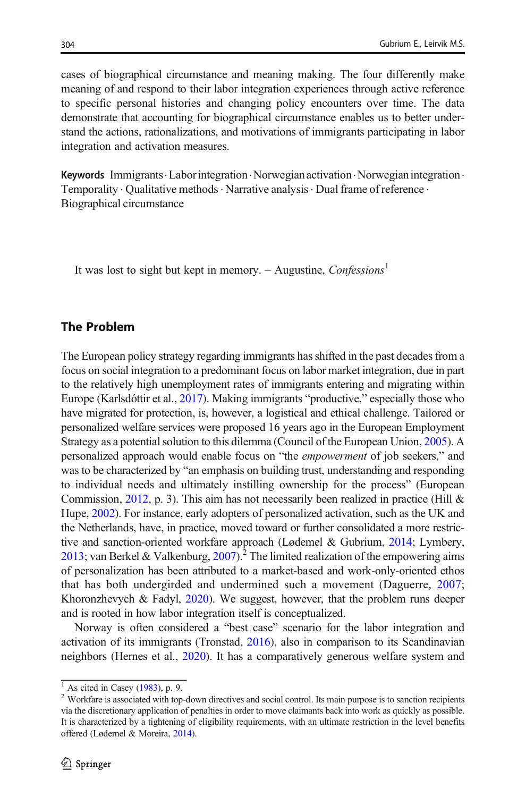cases of biographical circumstance and meaning making. The four differently make meaning of and respond to their labor integration experiences through active reference to specific personal histories and changing policy encounters over time. The data demonstrate that accounting for biographical circumstance enables us to better understand the actions, rationalizations, and motivations of immigrants participating in labor integration and activation measures.

**Keywords** Immigrants. Labor integration. Norwegian activation. Norwegian integration. Temporality . Qualitative methods . Narrative analysis . Dual frame of reference . Biographical circumstance

It was lost to sight but kept in memory. – Augustine, Confessions<sup>1</sup>

#### The Problem

The European policy strategy regarding immigrants has shifted in the past decades from a focus on social integration to a predominant focus on labor market integration, due in part to the relatively high unemployment rates of immigrants entering and migrating within Europe (Karlsdóttir et al., [2017](#page-16-0)). Making immigrants "productive," especially those who have migrated for protection, is, however, a logistical and ethical challenge. Tailored or personalized welfare services were proposed 16 years ago in the European Employment Strategy as a potential solution to this dilemma (Council of the European Union, [2005\)](#page-16-0). A personalized approach would enable focus on "the empowerment of job seekers," and was to be characterized by "an emphasis on building trust, understanding and responding to individual needs and ultimately instilling ownership for the process" (European Commission, [2012](#page-16-0), p. 3). This aim has not necessarily been realized in practice (Hill  $\&$ Hupe, [2002\)](#page-16-0). For instance, early adopters of personalized activation, such as the UK and the Netherlands, have, in practice, moved toward or further consolidated a more restrictive and sanction-oriented workfare approach (Lødemel & Gubrium, [2014](#page-17-0); Lymbery, [2013](#page-17-0); van Berkel & Valkenburg, [2007](#page-17-0)).<sup>2</sup> The limited realization of the empowering aims of personalization has been attributed to a market-based and work-only-oriented ethos that has both undergirded and undermined such a movement (Daguerre, [2007;](#page-16-0) Khoronzhevych & Fadyl, [2020](#page-16-0)). We suggest, however, that the problem runs deeper and is rooted in how labor integration itself is conceptualized.

Norway is often considered a "best case" scenario for the labor integration and activation of its immigrants (Tronstad, [2016\)](#page-17-0), also in comparison to its Scandinavian neighbors (Hernes et al., [2020\)](#page-16-0). It has a comparatively generous welfare system and

 $\frac{1}{2}$  As cited in Casey [\(1983\)](#page-16-0), p. 9. 2 Workfare is associated with top-down directives and social control. Its main purpose is to sanction recipients via the discretionary application of penalties in order to move claimants back into work as quickly as possible. It is characterized by a tightening of eligibility requirements, with an ultimate restriction in the level benefits offered (Lødemel & Moreira, [2014](#page-17-0)).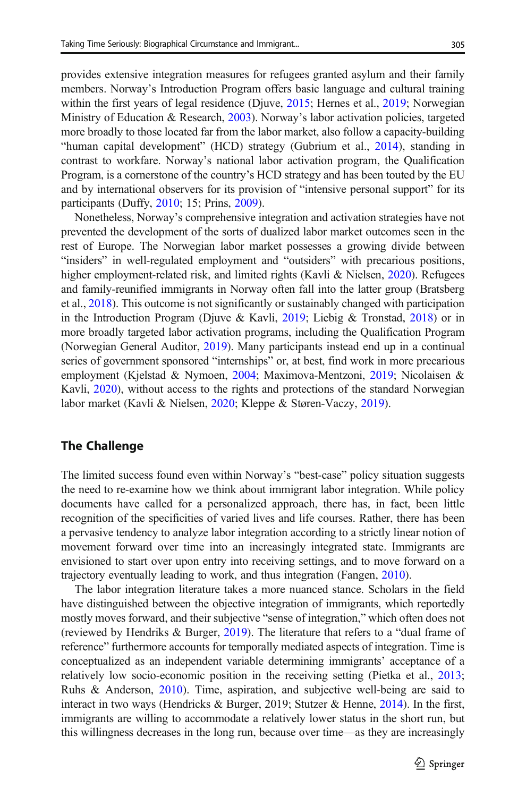provides extensive integration measures for refugees granted asylum and their family members. Norway's Introduction Program offers basic language and cultural training within the first years of legal residence (Djuve, [2015](#page-16-0); Hernes et al., [2019](#page-16-0); Norwegian Ministry of Education & Research, [2003](#page-17-0)). Norway's labor activation policies, targeted more broadly to those located far from the labor market, also follow a capacity-building "human capital development" (HCD) strategy (Gubrium et al., [2014](#page-16-0)), standing in contrast to workfare. Norway's national labor activation program, the Qualification Program, is a cornerstone of the country's HCD strategy and has been touted by the EU and by international observers for its provision of "intensive personal support" for its participants (Duffy, [2010;](#page-16-0) 15; Prins, [2009\)](#page-17-0).

Nonetheless, Norway's comprehensive integration and activation strategies have not prevented the development of the sorts of dualized labor market outcomes seen in the rest of Europe. The Norwegian labor market possesses a growing divide between "insiders" in well-regulated employment and "outsiders" with precarious positions, higher employment-related risk, and limited rights (Kavli & Nielsen, [2020\)](#page-16-0). Refugees and family-reunified immigrants in Norway often fall into the latter group (Bratsberg et al., [2018\)](#page-15-0). This outcome is not significantly or sustainably changed with participation in the Introduction Program (Djuve & Kavli, [2019](#page-16-0); Liebig & Tronstad, [2018](#page-17-0)) or in more broadly targeted labor activation programs, including the Qualification Program (Norwegian General Auditor, [2019\)](#page-17-0). Many participants instead end up in a continual series of government sponsored "internships" or, at best, find work in more precarious employment (Kjelstad & Nymoen, [2004;](#page-16-0) Maximova-Mentzoni, [2019;](#page-17-0) Nicolaisen & Kavli, [2020\)](#page-17-0), without access to the rights and protections of the standard Norwegian labor market (Kavli & Nielsen, [2020](#page-16-0); Kleppe & Støren-Vaczy, [2019](#page-16-0)).

#### The Challenge

The limited success found even within Norway's "best-case" policy situation suggests the need to re-examine how we think about immigrant labor integration. While policy documents have called for a personalized approach, there has, in fact, been little recognition of the specificities of varied lives and life courses. Rather, there has been a pervasive tendency to analyze labor integration according to a strictly linear notion of movement forward over time into an increasingly integrated state. Immigrants are envisioned to start over upon entry into receiving settings, and to move forward on a trajectory eventually leading to work, and thus integration (Fangen, [2010\)](#page-16-0).

The labor integration literature takes a more nuanced stance. Scholars in the field have distinguished between the objective integration of immigrants, which reportedly mostly moves forward, and their subjective "sense of integration," which often does not (reviewed by Hendriks & Burger, [2019\)](#page-16-0). The literature that refers to a "dual frame of reference" furthermore accounts for temporally mediated aspects of integration. Time is conceptualized as an independent variable determining immigrants' acceptance of a relatively low socio-economic position in the receiving setting (Pietka et al., [2013;](#page-17-0) Ruhs & Anderson, [2010\)](#page-17-0). Time, aspiration, and subjective well-being are said to interact in two ways (Hendricks & Burger, 2019; Stutzer & Henne, [2014\)](#page-17-0). In the first, immigrants are willing to accommodate a relatively lower status in the short run, but this willingness decreases in the long run, because over time—as they are increasingly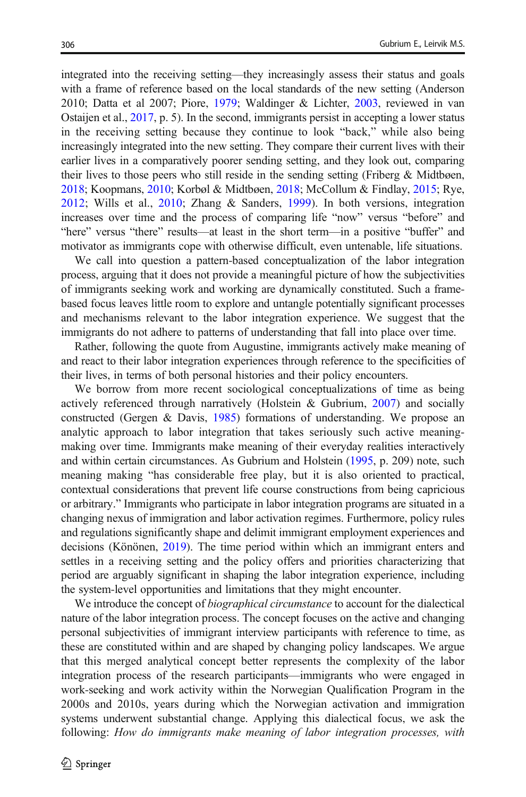integrated into the receiving setting—they increasingly assess their status and goals with a frame of reference based on the local standards of the new setting (Anderson 2010; Datta et al 2007; Piore, [1979](#page-17-0); Waldinger & Lichter, [2003,](#page-17-0) reviewed in van Ostaijen et al., [2017](#page-17-0), p. 5). In the second, immigrants persist in accepting a lower status in the receiving setting because they continue to look "back," while also being increasingly integrated into the new setting. They compare their current lives with their earlier lives in a comparatively poorer sending setting, and they look out, comparing their lives to those peers who still reside in the sending setting (Friberg  $\&$  Midtbøen, [2018;](#page-16-0) Koopmans, [2010;](#page-17-0) Korbøl & Midtbøen, [2018;](#page-17-0) McCollum & Findlay, [2015;](#page-17-0) Rye, [2012;](#page-17-0) Wills et al., [2010](#page-17-0); Zhang & Sanders, [1999](#page-17-0)). In both versions, integration increases over time and the process of comparing life "now" versus "before" and "here" versus "there" results—at least in the short term—in a positive "buffer" and motivator as immigrants cope with otherwise difficult, even untenable, life situations.

We call into question a pattern-based conceptualization of the labor integration process, arguing that it does not provide a meaningful picture of how the subjectivities of immigrants seeking work and working are dynamically constituted. Such a framebased focus leaves little room to explore and untangle potentially significant processes and mechanisms relevant to the labor integration experience. We suggest that the immigrants do not adhere to patterns of understanding that fall into place over time.

Rather, following the quote from Augustine, immigrants actively make meaning of and react to their labor integration experiences through reference to the specificities of their lives, in terms of both personal histories and their policy encounters.

We borrow from more recent sociological conceptualizations of time as being actively referenced through narratively (Holstein & Gubrium, [2007](#page-16-0)) and socially constructed (Gergen & Davis, [1985](#page-16-0)) formations of understanding. We propose an analytic approach to labor integration that takes seriously such active meaningmaking over time. Immigrants make meaning of their everyday realities interactively and within certain circumstances. As Gubrium and Holstein [\(1995,](#page-16-0) p. 209) note, such meaning making "has considerable free play, but it is also oriented to practical, contextual considerations that prevent life course constructions from being capricious or arbitrary." Immigrants who participate in labor integration programs are situated in a changing nexus of immigration and labor activation regimes. Furthermore, policy rules and regulations significantly shape and delimit immigrant employment experiences and decisions (Könönen, [2019\)](#page-16-0). The time period within which an immigrant enters and settles in a receiving setting and the policy offers and priorities characterizing that period are arguably significant in shaping the labor integration experience, including the system-level opportunities and limitations that they might encounter.

We introduce the concept of *biographical circumstance* to account for the dialectical nature of the labor integration process. The concept focuses on the active and changing personal subjectivities of immigrant interview participants with reference to time, as these are constituted within and are shaped by changing policy landscapes. We argue that this merged analytical concept better represents the complexity of the labor integration process of the research participants—immigrants who were engaged in work-seeking and work activity within the Norwegian Qualification Program in the 2000s and 2010s, years during which the Norwegian activation and immigration systems underwent substantial change. Applying this dialectical focus, we ask the following: How do immigrants make meaning of labor integration processes, with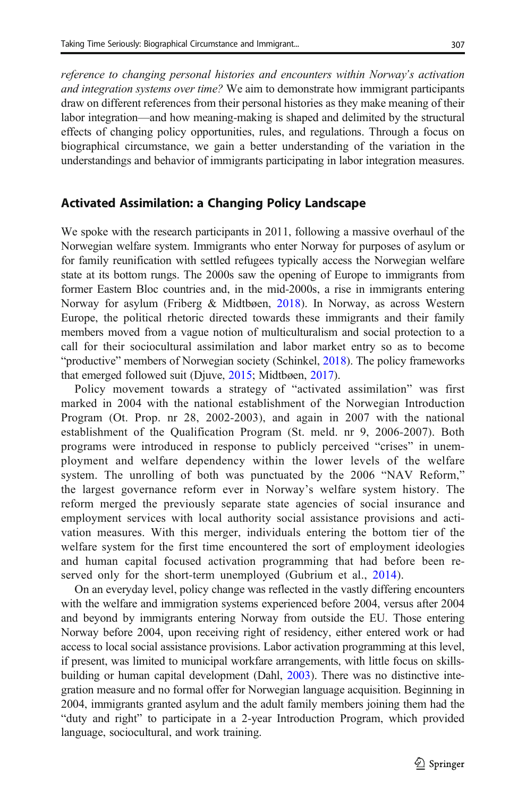reference to changing personal histories and encounters within Norway's activation and integration systems over time? We aim to demonstrate how immigrant participants draw on different references from their personal histories as they make meaning of their labor integration—and how meaning-making is shaped and delimited by the structural effects of changing policy opportunities, rules, and regulations. Through a focus on biographical circumstance, we gain a better understanding of the variation in the understandings and behavior of immigrants participating in labor integration measures.

#### Activated Assimilation: a Changing Policy Landscape

We spoke with the research participants in 2011, following a massive overhaul of the Norwegian welfare system. Immigrants who enter Norway for purposes of asylum or for family reunification with settled refugees typically access the Norwegian welfare state at its bottom rungs. The 2000s saw the opening of Europe to immigrants from former Eastern Bloc countries and, in the mid-2000s, a rise in immigrants entering Norway for asylum (Friberg & Midtbøen, [2018](#page-16-0)). In Norway, as across Western Europe, the political rhetoric directed towards these immigrants and their family members moved from a vague notion of multiculturalism and social protection to a call for their sociocultural assimilation and labor market entry so as to become "productive" members of Norwegian society (Schinkel, [2018](#page-17-0)). The policy frameworks that emerged followed suit (Djuve, [2015;](#page-16-0) Midtbøen, [2017\)](#page-17-0).

Policy movement towards a strategy of "activated assimilation" was first marked in 2004 with the national establishment of the Norwegian Introduction Program (Ot. Prop. nr 28, 2002-2003), and again in 2007 with the national establishment of the Qualification Program (St. meld. nr 9, 2006-2007). Both programs were introduced in response to publicly perceived "crises" in unemployment and welfare dependency within the lower levels of the welfare system. The unrolling of both was punctuated by the 2006 "NAV Reform," the largest governance reform ever in Norway's welfare system history. The reform merged the previously separate state agencies of social insurance and employment services with local authority social assistance provisions and activation measures. With this merger, individuals entering the bottom tier of the welfare system for the first time encountered the sort of employment ideologies and human capital focused activation programming that had before been re-served only for the short-term unemployed (Gubrium et al., [2014\)](#page-16-0).

On an everyday level, policy change was reflected in the vastly differing encounters with the welfare and immigration systems experienced before 2004, versus after 2004 and beyond by immigrants entering Norway from outside the EU. Those entering Norway before 2004, upon receiving right of residency, either entered work or had access to local social assistance provisions. Labor activation programming at this level, if present, was limited to municipal workfare arrangements, with little focus on skillsbuilding or human capital development (Dahl, [2003](#page-16-0)). There was no distinctive integration measure and no formal offer for Norwegian language acquisition. Beginning in 2004, immigrants granted asylum and the adult family members joining them had the "duty and right" to participate in a 2-year Introduction Program, which provided language, sociocultural, and work training.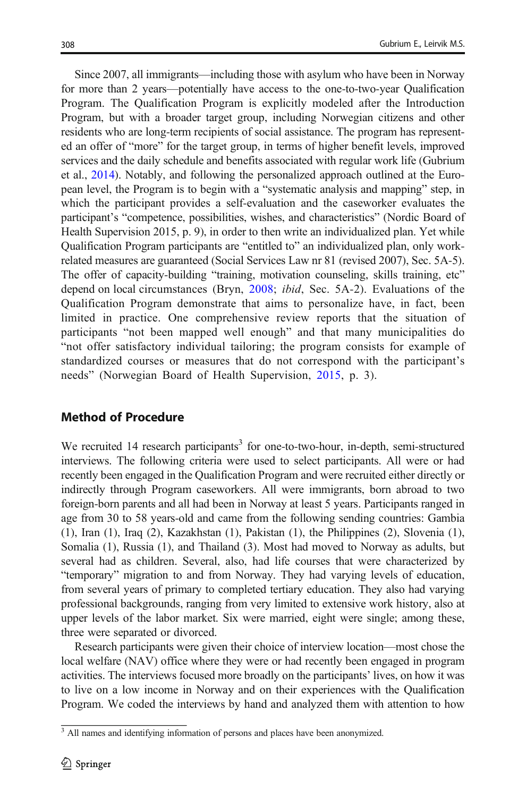Since 2007, all immigrants—including those with asylum who have been in Norway for more than 2 years—potentially have access to the one-to-two-year Qualification Program. The Qualification Program is explicitly modeled after the Introduction Program, but with a broader target group, including Norwegian citizens and other residents who are long-term recipients of social assistance. The program has represented an offer of "more" for the target group, in terms of higher benefit levels, improved services and the daily schedule and benefits associated with regular work life (Gubrium et al., [2014\)](#page-16-0). Notably, and following the personalized approach outlined at the European level, the Program is to begin with a "systematic analysis and mapping" step, in which the participant provides a self-evaluation and the caseworker evaluates the participant's "competence, possibilities, wishes, and characteristics" (Nordic Board of Health Supervision 2015, p. 9), in order to then write an individualized plan. Yet while Qualification Program participants are "entitled to" an individualized plan, only workrelated measures are guaranteed (Social Services Law nr 81 (revised 2007), Sec. 5A-5). The offer of capacity-building "training, motivation counseling, skills training, etc" depend on local circumstances (Bryn, [2008;](#page-16-0) ibid, Sec. 5A-2). Evaluations of the Qualification Program demonstrate that aims to personalize have, in fact, been limited in practice. One comprehensive review reports that the situation of participants "not been mapped well enough" and that many municipalities do "not offer satisfactory individual tailoring; the program consists for example of standardized courses or measures that do not correspond with the participant's needs" (Norwegian Board of Health Supervision, [2015](#page-17-0), p. 3).

## Method of Procedure

We recruited 14 research participants<sup>3</sup> for one-to-two-hour, in-depth, semi-structured interviews. The following criteria were used to select participants. All were or had recently been engaged in the Qualification Program and were recruited either directly or indirectly through Program caseworkers. All were immigrants, born abroad to two foreign-born parents and all had been in Norway at least 5 years. Participants ranged in age from 30 to 58 years-old and came from the following sending countries: Gambia (1), Iran (1), Iraq (2), Kazakhstan (1), Pakistan (1), the Philippines (2), Slovenia (1), Somalia (1), Russia (1), and Thailand (3). Most had moved to Norway as adults, but several had as children. Several, also, had life courses that were characterized by "temporary" migration to and from Norway. They had varying levels of education, from several years of primary to completed tertiary education. They also had varying professional backgrounds, ranging from very limited to extensive work history, also at upper levels of the labor market. Six were married, eight were single; among these, three were separated or divorced.

Research participants were given their choice of interview location—most chose the local welfare (NAV) office where they were or had recently been engaged in program activities. The interviews focused more broadly on the participants' lives, on how it was to live on a low income in Norway and on their experiences with the Qualification Program. We coded the interviews by hand and analyzed them with attention to how

<sup>&</sup>lt;sup>3</sup> All names and identifying information of persons and places have been anonymized.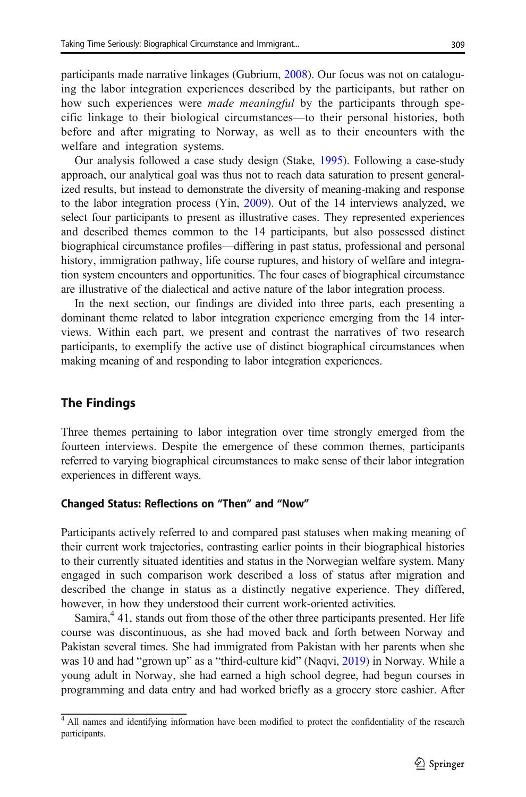participants made narrative linkages (Gubrium, [2008](#page-16-0)). Our focus was not on cataloguing the labor integration experiences described by the participants, but rather on how such experiences were *made meaningful* by the participants through specific linkage to their biological circumstances—to their personal histories, both before and after migrating to Norway, as well as to their encounters with the welfare and integration systems.

Our analysis followed a case study design (Stake, [1995\)](#page-17-0). Following a case-study approach, our analytical goal was thus not to reach data saturation to present generalized results, but instead to demonstrate the diversity of meaning-making and response to the labor integration process (Yin, [2009](#page-17-0)). Out of the 14 interviews analyzed, we select four participants to present as illustrative cases. They represented experiences and described themes common to the 14 participants, but also possessed distinct biographical circumstance profiles—differing in past status, professional and personal history, immigration pathway, life course ruptures, and history of welfare and integration system encounters and opportunities. The four cases of biographical circumstance are illustrative of the dialectical and active nature of the labor integration process.

In the next section, our findings are divided into three parts, each presenting a dominant theme related to labor integration experience emerging from the 14 interviews. Within each part, we present and contrast the narratives of two research participants, to exemplify the active use of distinct biographical circumstances when making meaning of and responding to labor integration experiences.

#### The Findings

Three themes pertaining to labor integration over time strongly emerged from the fourteen interviews. Despite the emergence of these common themes, participants referred to varying biographical circumstances to make sense of their labor integration experiences in different ways.

#### Changed Status: Reflections on "Then" and "Now"

Participants actively referred to and compared past statuses when making meaning of their current work trajectories, contrasting earlier points in their biographical histories to their currently situated identities and status in the Norwegian welfare system. Many engaged in such comparison work described a loss of status after migration and described the change in status as a distinctly negative experience. They differed, however, in how they understood their current work-oriented activities.

Samira, $4$  41, stands out from those of the other three participants presented. Her life course was discontinuous, as she had moved back and forth between Norway and Pakistan several times. She had immigrated from Pakistan with her parents when she was 10 and had "grown up" as a "third-culture kid" (Naqvi, [2019\)](#page-17-0) in Norway. While a young adult in Norway, she had earned a high school degree, had begun courses in programming and data entry and had worked briefly as a grocery store cashier. After

<sup>&</sup>lt;sup>4</sup> All names and identifying information have been modified to protect the confidentiality of the research participants.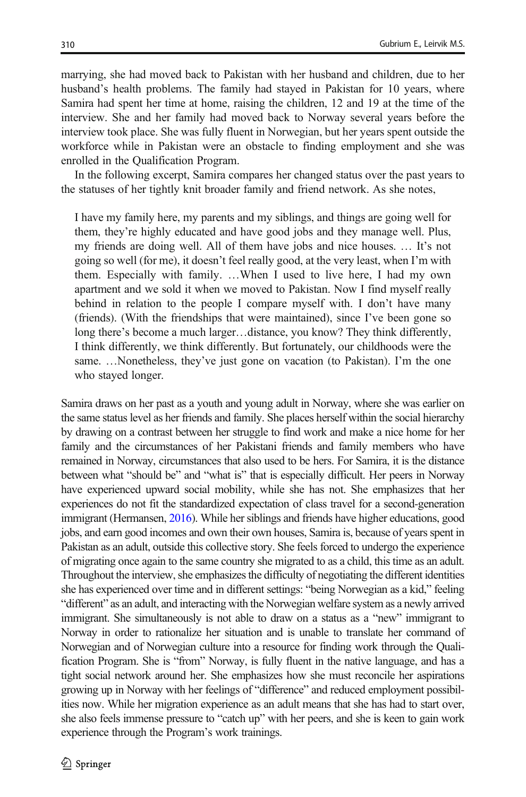marrying, she had moved back to Pakistan with her husband and children, due to her husband's health problems. The family had stayed in Pakistan for 10 years, where Samira had spent her time at home, raising the children, 12 and 19 at the time of the interview. She and her family had moved back to Norway several years before the interview took place. She was fully fluent in Norwegian, but her years spent outside the workforce while in Pakistan were an obstacle to finding employment and she was enrolled in the Qualification Program.

In the following excerpt, Samira compares her changed status over the past years to the statuses of her tightly knit broader family and friend network. As she notes,

I have my family here, my parents and my siblings, and things are going well for them, they're highly educated and have good jobs and they manage well. Plus, my friends are doing well. All of them have jobs and nice houses. … It's not going so well (for me), it doesn't feel really good, at the very least, when I'm with them. Especially with family. …When I used to live here, I had my own apartment and we sold it when we moved to Pakistan. Now I find myself really behind in relation to the people I compare myself with. I don't have many (friends). (With the friendships that were maintained), since I've been gone so long there's become a much larger…distance, you know? They think differently, I think differently, we think differently. But fortunately, our childhoods were the same. …Nonetheless, they've just gone on vacation (to Pakistan). I'm the one who stayed longer.

Samira draws on her past as a youth and young adult in Norway, where she was earlier on the same status level as her friends and family. She places herself within the social hierarchy by drawing on a contrast between her struggle to find work and make a nice home for her family and the circumstances of her Pakistani friends and family members who have remained in Norway, circumstances that also used to be hers. For Samira, it is the distance between what "should be" and "what is" that is especially difficult. Her peers in Norway have experienced upward social mobility, while she has not. She emphasizes that her experiences do not fit the standardized expectation of class travel for a second-generation immigrant (Hermansen, [2016](#page-16-0)). While her siblings and friends have higher educations, good jobs, and earn good incomes and own their own houses, Samira is, because of years spent in Pakistan as an adult, outside this collective story. She feels forced to undergo the experience of migrating once again to the same country she migrated to as a child, this time as an adult. Throughout the interview, she emphasizes the difficulty of negotiating the different identities she has experienced over time and in different settings: "being Norwegian as a kid," feeling "different" as an adult, and interacting with the Norwegian welfare system as a newly arrived immigrant. She simultaneously is not able to draw on a status as a "new" immigrant to Norway in order to rationalize her situation and is unable to translate her command of Norwegian and of Norwegian culture into a resource for finding work through the Qualification Program. She is "from" Norway, is fully fluent in the native language, and has a tight social network around her. She emphasizes how she must reconcile her aspirations growing up in Norway with her feelings of "difference" and reduced employment possibilities now. While her migration experience as an adult means that she has had to start over, she also feels immense pressure to "catch up" with her peers, and she is keen to gain work experience through the Program's work trainings.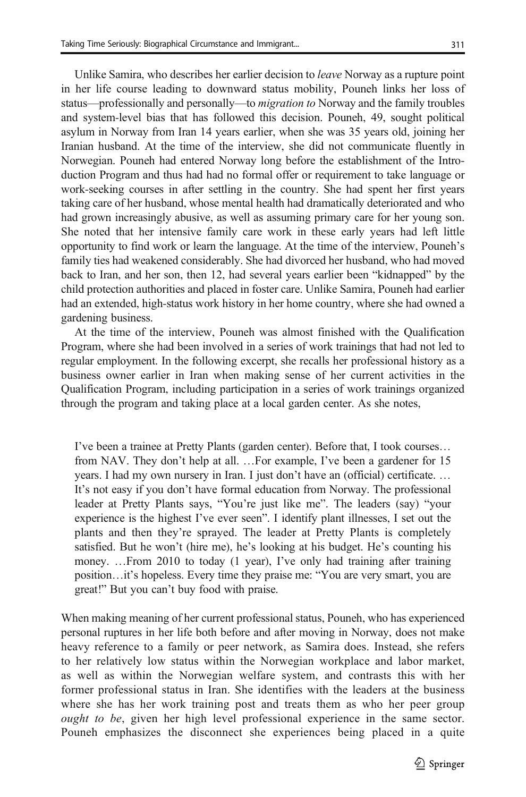Unlike Samira, who describes her earlier decision to leave Norway as a rupture point in her life course leading to downward status mobility, Pouneh links her loss of status—professionally and personally—to *migration to* Norway and the family troubles and system-level bias that has followed this decision. Pouneh, 49, sought political asylum in Norway from Iran 14 years earlier, when she was 35 years old, joining her Iranian husband. At the time of the interview, she did not communicate fluently in Norwegian. Pouneh had entered Norway long before the establishment of the Introduction Program and thus had had no formal offer or requirement to take language or work-seeking courses in after settling in the country. She had spent her first years taking care of her husband, whose mental health had dramatically deteriorated and who had grown increasingly abusive, as well as assuming primary care for her young son. She noted that her intensive family care work in these early years had left little opportunity to find work or learn the language. At the time of the interview, Pouneh's family ties had weakened considerably. She had divorced her husband, who had moved back to Iran, and her son, then 12, had several years earlier been "kidnapped" by the child protection authorities and placed in foster care. Unlike Samira, Pouneh had earlier had an extended, high-status work history in her home country, where she had owned a gardening business.

At the time of the interview, Pouneh was almost finished with the Qualification Program, where she had been involved in a series of work trainings that had not led to regular employment. In the following excerpt, she recalls her professional history as a business owner earlier in Iran when making sense of her current activities in the Qualification Program, including participation in a series of work trainings organized through the program and taking place at a local garden center. As she notes,

I've been a trainee at Pretty Plants (garden center). Before that, I took courses… from NAV. They don't help at all. …For example, I've been a gardener for 15 years. I had my own nursery in Iran. I just don't have an (official) certificate. … It's not easy if you don't have formal education from Norway. The professional leader at Pretty Plants says, "You're just like me". The leaders (say) "your experience is the highest I've ever seen". I identify plant illnesses, I set out the plants and then they're sprayed. The leader at Pretty Plants is completely satisfied. But he won't (hire me), he's looking at his budget. He's counting his money. …From 2010 to today (1 year), I've only had training after training position…it's hopeless. Every time they praise me: "You are very smart, you are great!" But you can't buy food with praise.

When making meaning of her current professional status, Pouneh, who has experienced personal ruptures in her life both before and after moving in Norway, does not make heavy reference to a family or peer network, as Samira does. Instead, she refers to her relatively low status within the Norwegian workplace and labor market, as well as within the Norwegian welfare system, and contrasts this with her former professional status in Iran. She identifies with the leaders at the business where she has her work training post and treats them as who her peer group ought to be, given her high level professional experience in the same sector. Pouneh emphasizes the disconnect she experiences being placed in a quite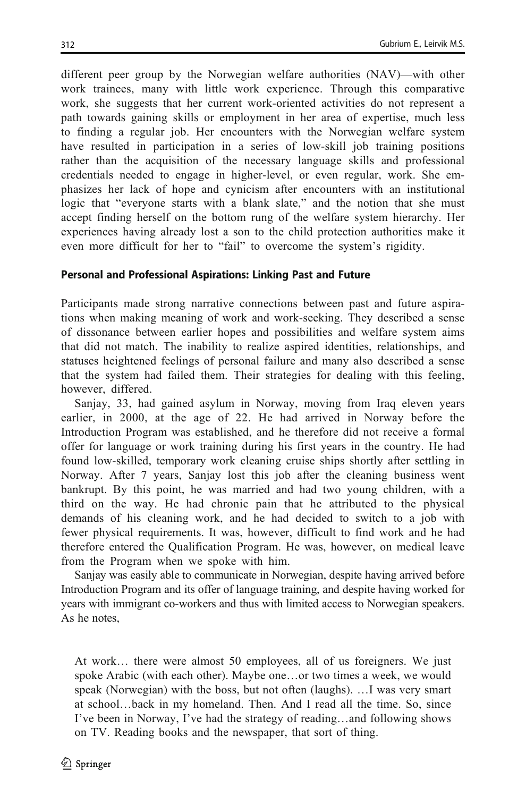different peer group by the Norwegian welfare authorities (NAV)—with other work trainees, many with little work experience. Through this comparative work, she suggests that her current work-oriented activities do not represent a path towards gaining skills or employment in her area of expertise, much less to finding a regular job. Her encounters with the Norwegian welfare system have resulted in participation in a series of low-skill job training positions rather than the acquisition of the necessary language skills and professional credentials needed to engage in higher-level, or even regular, work. She emphasizes her lack of hope and cynicism after encounters with an institutional logic that "everyone starts with a blank slate," and the notion that she must accept finding herself on the bottom rung of the welfare system hierarchy. Her experiences having already lost a son to the child protection authorities make it even more difficult for her to "fail" to overcome the system's rigidity.

#### Personal and Professional Aspirations: Linking Past and Future

Participants made strong narrative connections between past and future aspirations when making meaning of work and work-seeking. They described a sense of dissonance between earlier hopes and possibilities and welfare system aims that did not match. The inability to realize aspired identities, relationships, and statuses heightened feelings of personal failure and many also described a sense that the system had failed them. Their strategies for dealing with this feeling, however, differed.

Sanjay, 33, had gained asylum in Norway, moving from Iraq eleven years earlier, in 2000, at the age of 22. He had arrived in Norway before the Introduction Program was established, and he therefore did not receive a formal offer for language or work training during his first years in the country. He had found low-skilled, temporary work cleaning cruise ships shortly after settling in Norway. After 7 years, Sanjay lost this job after the cleaning business went bankrupt. By this point, he was married and had two young children, with a third on the way. He had chronic pain that he attributed to the physical demands of his cleaning work, and he had decided to switch to a job with fewer physical requirements. It was, however, difficult to find work and he had therefore entered the Qualification Program. He was, however, on medical leave from the Program when we spoke with him.

Sanjay was easily able to communicate in Norwegian, despite having arrived before Introduction Program and its offer of language training, and despite having worked for years with immigrant co-workers and thus with limited access to Norwegian speakers. As he notes,

At work… there were almost 50 employees, all of us foreigners. We just spoke Arabic (with each other). Maybe one…or two times a week, we would speak (Norwegian) with the boss, but not often (laughs). …I was very smart at school…back in my homeland. Then. And I read all the time. So, since I've been in Norway, I've had the strategy of reading…and following shows on TV. Reading books and the newspaper, that sort of thing.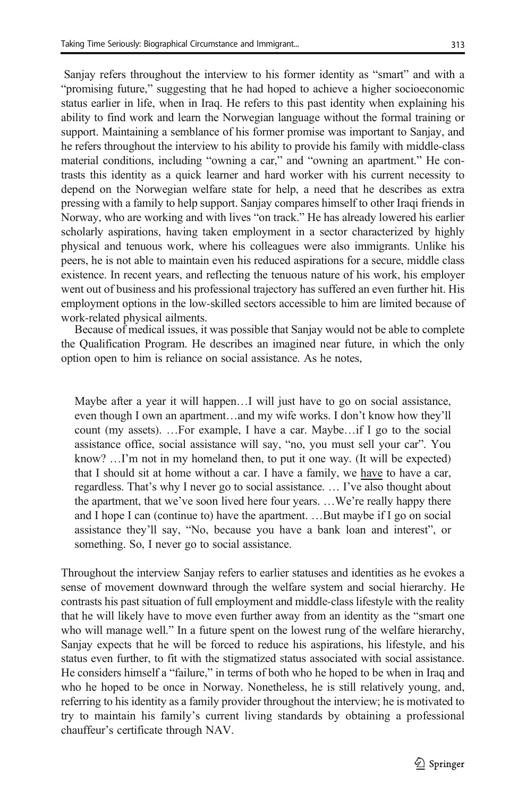Sanjay refers throughout the interview to his former identity as "smart" and with a "promising future," suggesting that he had hoped to achieve a higher socioeconomic status earlier in life, when in Iraq. He refers to this past identity when explaining his ability to find work and learn the Norwegian language without the formal training or support. Maintaining a semblance of his former promise was important to Sanjay, and he refers throughout the interview to his ability to provide his family with middle-class material conditions, including "owning a car," and "owning an apartment." He contrasts this identity as a quick learner and hard worker with his current necessity to depend on the Norwegian welfare state for help, a need that he describes as extra pressing with a family to help support. Sanjay compares himself to other Iraqi friends in Norway, who are working and with lives "on track." He has already lowered his earlier scholarly aspirations, having taken employment in a sector characterized by highly physical and tenuous work, where his colleagues were also immigrants. Unlike his peers, he is not able to maintain even his reduced aspirations for a secure, middle class existence. In recent years, and reflecting the tenuous nature of his work, his employer went out of business and his professional trajectory has suffered an even further hit. His employment options in the low-skilled sectors accessible to him are limited because of work-related physical ailments.

Because of medical issues, it was possible that Sanjay would not be able to complete the Qualification Program. He describes an imagined near future, in which the only option open to him is reliance on social assistance. As he notes,

Maybe after a year it will happen…I will just have to go on social assistance, even though I own an apartment…and my wife works. I don't know how they'll count (my assets). …For example, I have a car. Maybe…if I go to the social assistance office, social assistance will say, "no, you must sell your car". You know? …I'm not in my homeland then, to put it one way. (It will be expected) that I should sit at home without a car. I have a family, we have to have a car, regardless. That's why I never go to social assistance. … I've also thought about the apartment, that we've soon lived here four years. …We're really happy there and I hope I can (continue to) have the apartment. …But maybe if I go on social assistance they'll say, "No, because you have a bank loan and interest", or something. So, I never go to social assistance.

Throughout the interview Sanjay refers to earlier statuses and identities as he evokes a sense of movement downward through the welfare system and social hierarchy. He contrasts his past situation of full employment and middle-class lifestyle with the reality that he will likely have to move even further away from an identity as the "smart one who will manage well." In a future spent on the lowest rung of the welfare hierarchy, Sanjay expects that he will be forced to reduce his aspirations, his lifestyle, and his status even further, to fit with the stigmatized status associated with social assistance. He considers himself a "failure," in terms of both who he hoped to be when in Iraq and who he hoped to be once in Norway. Nonetheless, he is still relatively young, and, referring to his identity as a family provider throughout the interview; he is motivated to try to maintain his family's current living standards by obtaining a professional chauffeur's certificate through NAV.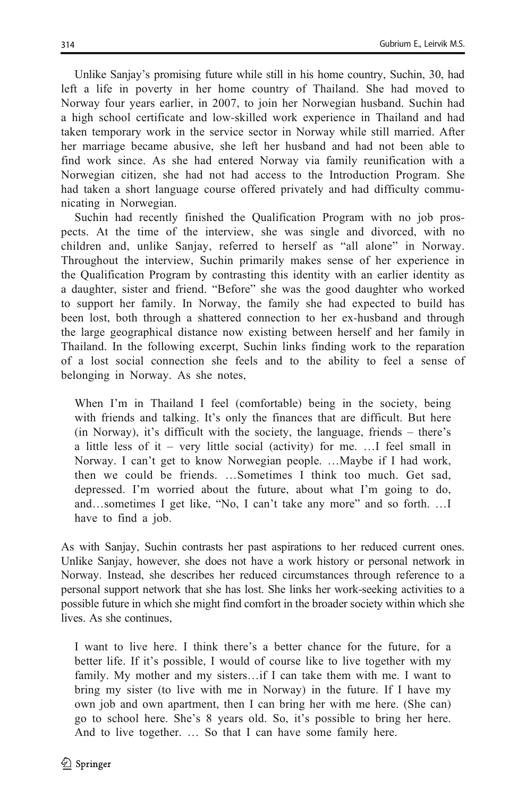Unlike Sanjay's promising future while still in his home country, Suchin, 30, had left a life in poverty in her home country of Thailand. She had moved to Norway four years earlier, in 2007, to join her Norwegian husband. Suchin had a high school certificate and low-skilled work experience in Thailand and had taken temporary work in the service sector in Norway while still married. After her marriage became abusive, she left her husband and had not been able to find work since. As she had entered Norway via family reunification with a Norwegian citizen, she had not had access to the Introduction Program. She had taken a short language course offered privately and had difficulty communicating in Norwegian.

Suchin had recently finished the Qualification Program with no job prospects. At the time of the interview, she was single and divorced, with no children and, unlike Sanjay, referred to herself as "all alone" in Norway. Throughout the interview, Suchin primarily makes sense of her experience in the Qualification Program by contrasting this identity with an earlier identity as a daughter, sister and friend. "Before" she was the good daughter who worked to support her family. In Norway, the family she had expected to build has been lost, both through a shattered connection to her ex-husband and through the large geographical distance now existing between herself and her family in Thailand. In the following excerpt, Suchin links finding work to the reparation of a lost social connection she feels and to the ability to feel a sense of belonging in Norway. As she notes,

When I'm in Thailand I feel (comfortable) being in the society, being with friends and talking. It's only the finances that are difficult. But here (in Norway), it's difficult with the society, the language, friends – there's a little less of it – very little social (activity) for me. …I feel small in Norway. I can't get to know Norwegian people. …Maybe if I had work, then we could be friends. …Sometimes I think too much. Get sad, depressed. I'm worried about the future, about what I'm going to do, and…sometimes I get like, "No, I can't take any more" and so forth. …I have to find a job.

As with Sanjay, Suchin contrasts her past aspirations to her reduced current ones. Unlike Sanjay, however, she does not have a work history or personal network in Norway. Instead, she describes her reduced circumstances through reference to a personal support network that she has lost. She links her work-seeking activities to a possible future in which she might find comfort in the broader society within which she lives. As she continues,

I want to live here. I think there's a better chance for the future, for a better life. If it's possible, I would of course like to live together with my family. My mother and my sisters…if I can take them with me. I want to bring my sister (to live with me in Norway) in the future. If I have my own job and own apartment, then I can bring her with me here. (She can) go to school here. She's 8 years old. So, it's possible to bring her here. And to live together. … So that I can have some family here.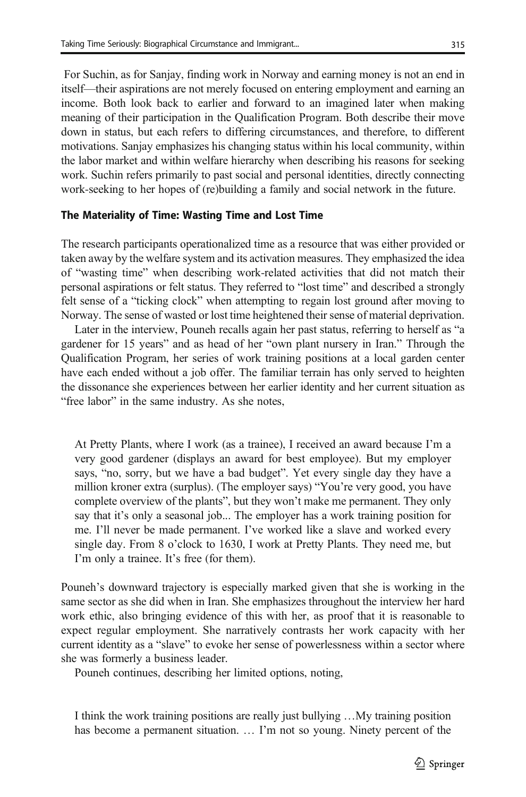For Suchin, as for Sanjay, finding work in Norway and earning money is not an end in itself—their aspirations are not merely focused on entering employment and earning an income. Both look back to earlier and forward to an imagined later when making meaning of their participation in the Qualification Program. Both describe their move down in status, but each refers to differing circumstances, and therefore, to different motivations. Sanjay emphasizes his changing status within his local community, within the labor market and within welfare hierarchy when describing his reasons for seeking work. Suchin refers primarily to past social and personal identities, directly connecting work-seeking to her hopes of (re)building a family and social network in the future.

#### The Materiality of Time: Wasting Time and Lost Time

The research participants operationalized time as a resource that was either provided or taken away by the welfare system and its activation measures. They emphasized the idea of "wasting time" when describing work-related activities that did not match their personal aspirations or felt status. They referred to "lost time" and described a strongly felt sense of a "ticking clock" when attempting to regain lost ground after moving to Norway. The sense of wasted or lost time heightened their sense of material deprivation.

Later in the interview, Pouneh recalls again her past status, referring to herself as "a gardener for 15 years" and as head of her "own plant nursery in Iran." Through the Qualification Program, her series of work training positions at a local garden center have each ended without a job offer. The familiar terrain has only served to heighten the dissonance she experiences between her earlier identity and her current situation as "free labor" in the same industry. As she notes,

At Pretty Plants, where I work (as a trainee), I received an award because I'm a very good gardener (displays an award for best employee). But my employer says, "no, sorry, but we have a bad budget". Yet every single day they have a million kroner extra (surplus). (The employer says) "You're very good, you have complete overview of the plants", but they won't make me permanent. They only say that it's only a seasonal job... The employer has a work training position for me. I'll never be made permanent. I've worked like a slave and worked every single day. From 8 o'clock to 1630, I work at Pretty Plants. They need me, but I'm only a trainee. It's free (for them).

Pouneh's downward trajectory is especially marked given that she is working in the same sector as she did when in Iran. She emphasizes throughout the interview her hard work ethic, also bringing evidence of this with her, as proof that it is reasonable to expect regular employment. She narratively contrasts her work capacity with her current identity as a "slave" to evoke her sense of powerlessness within a sector where she was formerly a business leader.

Pouneh continues, describing her limited options, noting,

I think the work training positions are really just bullying …My training position has become a permanent situation. … I'm not so young. Ninety percent of the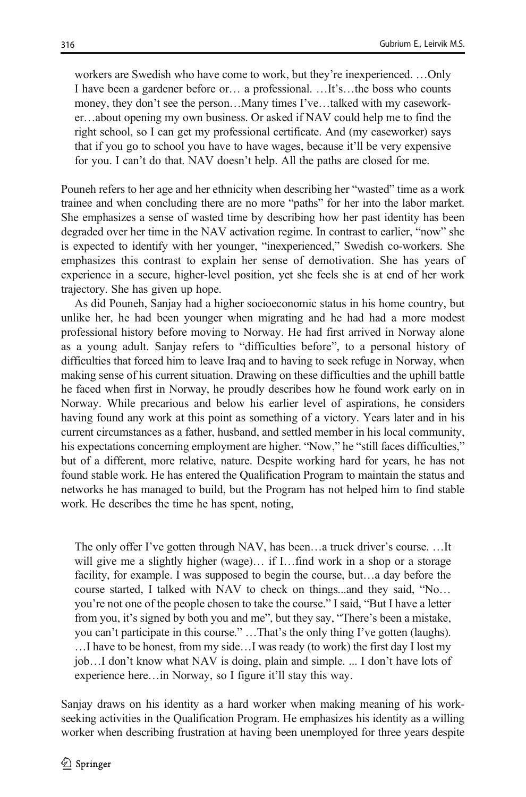workers are Swedish who have come to work, but they're inexperienced. …Only I have been a gardener before or… a professional. …It's…the boss who counts money, they don't see the person…Many times I've…talked with my caseworker…about opening my own business. Or asked if NAV could help me to find the right school, so I can get my professional certificate. And (my caseworker) says that if you go to school you have to have wages, because it'll be very expensive for you. I can't do that. NAV doesn't help. All the paths are closed for me.

Pouneh refers to her age and her ethnicity when describing her "wasted" time as a work trainee and when concluding there are no more "paths" for her into the labor market. She emphasizes a sense of wasted time by describing how her past identity has been degraded over her time in the NAV activation regime. In contrast to earlier, "now" she is expected to identify with her younger, "inexperienced," Swedish co-workers. She emphasizes this contrast to explain her sense of demotivation. She has years of experience in a secure, higher-level position, yet she feels she is at end of her work trajectory. She has given up hope.

As did Pouneh, Sanjay had a higher socioeconomic status in his home country, but unlike her, he had been younger when migrating and he had had a more modest professional history before moving to Norway. He had first arrived in Norway alone as a young adult. Sanjay refers to "difficulties before", to a personal history of difficulties that forced him to leave Iraq and to having to seek refuge in Norway, when making sense of his current situation. Drawing on these difficulties and the uphill battle he faced when first in Norway, he proudly describes how he found work early on in Norway. While precarious and below his earlier level of aspirations, he considers having found any work at this point as something of a victory. Years later and in his current circumstances as a father, husband, and settled member in his local community, his expectations concerning employment are higher. "Now," he "still faces difficulties," but of a different, more relative, nature. Despite working hard for years, he has not found stable work. He has entered the Qualification Program to maintain the status and networks he has managed to build, but the Program has not helped him to find stable work. He describes the time he has spent, noting,

The only offer I've gotten through NAV, has been…a truck driver's course. …It will give me a slightly higher (wage)... if I... find work in a shop or a storage facility, for example. I was supposed to begin the course, but…a day before the course started, I talked with NAV to check on things...and they said, "No… you're not one of the people chosen to take the course." I said, "But I have a letter from you, it's signed by both you and me", but they say, "There's been a mistake, you can't participate in this course." …That's the only thing I've gotten (laughs). …I have to be honest, from my side…I was ready (to work) the first day I lost my job…I don't know what NAV is doing, plain and simple. ... I don't have lots of experience here…in Norway, so I figure it'll stay this way.

Sanjay draws on his identity as a hard worker when making meaning of his workseeking activities in the Qualification Program. He emphasizes his identity as a willing worker when describing frustration at having been unemployed for three years despite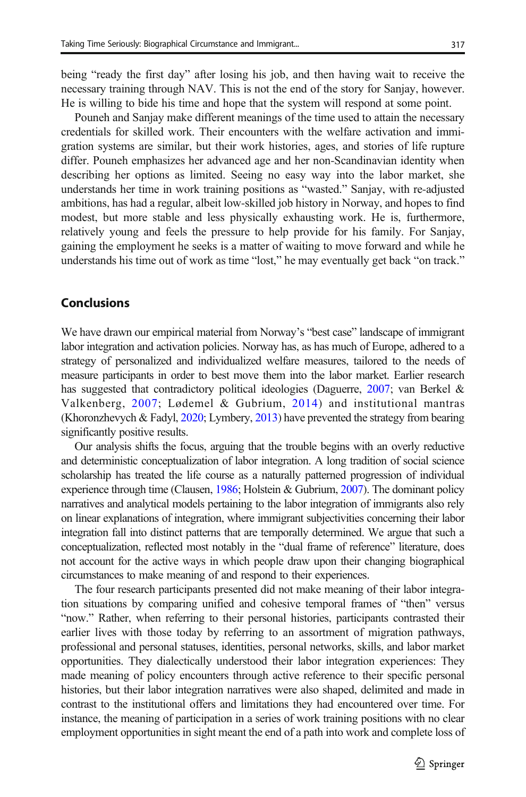being "ready the first day" after losing his job, and then having wait to receive the necessary training through NAV. This is not the end of the story for Sanjay, however. He is willing to bide his time and hope that the system will respond at some point.

Pouneh and Sanjay make different meanings of the time used to attain the necessary credentials for skilled work. Their encounters with the welfare activation and immigration systems are similar, but their work histories, ages, and stories of life rupture differ. Pouneh emphasizes her advanced age and her non-Scandinavian identity when describing her options as limited. Seeing no easy way into the labor market, she understands her time in work training positions as "wasted." Sanjay, with re-adjusted ambitions, has had a regular, albeit low-skilled job history in Norway, and hopes to find modest, but more stable and less physically exhausting work. He is, furthermore, relatively young and feels the pressure to help provide for his family. For Sanjay, gaining the employment he seeks is a matter of waiting to move forward and while he understands his time out of work as time "lost," he may eventually get back "on track."

#### **Conclusions**

We have drawn our empirical material from Norway's "best case" landscape of immigrant labor integration and activation policies. Norway has, as has much of Europe, adhered to a strategy of personalized and individualized welfare measures, tailored to the needs of measure participants in order to best move them into the labor market. Earlier research has suggested that contradictory political ideologies (Daguerre, [2007](#page-16-0); van Berkel & Valkenberg, [2007](#page-17-0); Lødemel & Gubrium, [2014](#page-17-0)) and institutional mantras (Khoronzhevych & Fadyl, [2020;](#page-16-0) Lymbery, [2013](#page-17-0)) have prevented the strategy from bearing significantly positive results.

Our analysis shifts the focus, arguing that the trouble begins with an overly reductive and deterministic conceptualization of labor integration. A long tradition of social science scholarship has treated the life course as a naturally patterned progression of individual experience through time (Clausen, [1986;](#page-16-0) Holstein & Gubrium, [2007\)](#page-16-0). The dominant policy narratives and analytical models pertaining to the labor integration of immigrants also rely on linear explanations of integration, where immigrant subjectivities concerning their labor integration fall into distinct patterns that are temporally determined. We argue that such a conceptualization, reflected most notably in the "dual frame of reference" literature, does not account for the active ways in which people draw upon their changing biographical circumstances to make meaning of and respond to their experiences.

The four research participants presented did not make meaning of their labor integration situations by comparing unified and cohesive temporal frames of "then" versus "now." Rather, when referring to their personal histories, participants contrasted their earlier lives with those today by referring to an assortment of migration pathways, professional and personal statuses, identities, personal networks, skills, and labor market opportunities. They dialectically understood their labor integration experiences: They made meaning of policy encounters through active reference to their specific personal histories, but their labor integration narratives were also shaped, delimited and made in contrast to the institutional offers and limitations they had encountered over time. For instance, the meaning of participation in a series of work training positions with no clear employment opportunities in sight meant the end of a path into work and complete loss of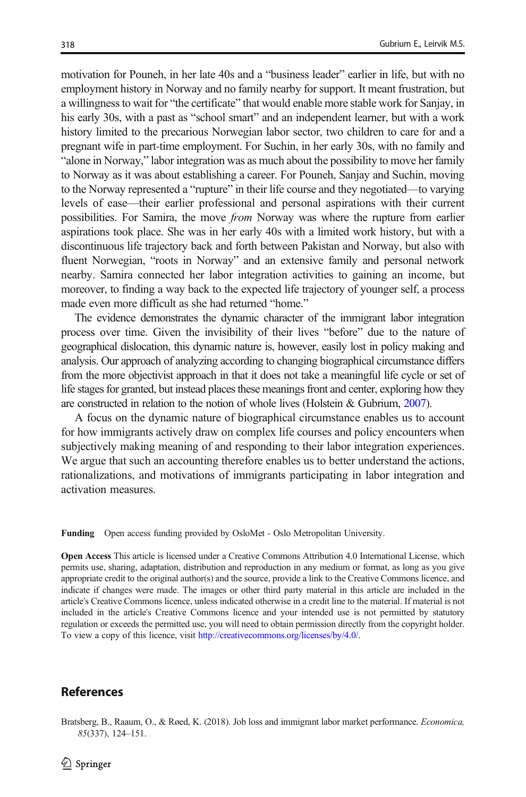<span id="page-15-0"></span>motivation for Pouneh, in her late 40s and a "business leader" earlier in life, but with no employment history in Norway and no family nearby for support. It meant frustration, but a willingness to wait for "the certificate" that would enable more stable work for Sanjay, in his early 30s, with a past as "school smart" and an independent learner, but with a work history limited to the precarious Norwegian labor sector, two children to care for and a pregnant wife in part-time employment. For Suchin, in her early 30s, with no family and "alone in Norway," labor integration was as much about the possibility to move her family to Norway as it was about establishing a career. For Pouneh, Sanjay and Suchin, moving to the Norway represented a "rupture" in their life course and they negotiated—to varying levels of ease—their earlier professional and personal aspirations with their current possibilities. For Samira, the move from Norway was where the rupture from earlier aspirations took place. She was in her early 40s with a limited work history, but with a discontinuous life trajectory back and forth between Pakistan and Norway, but also with fluent Norwegian, "roots in Norway" and an extensive family and personal network nearby. Samira connected her labor integration activities to gaining an income, but moreover, to finding a way back to the expected life trajectory of younger self, a process made even more difficult as she had returned "home."

The evidence demonstrates the dynamic character of the immigrant labor integration process over time. Given the invisibility of their lives "before" due to the nature of geographical dislocation, this dynamic nature is, however, easily lost in policy making and analysis. Our approach of analyzing according to changing biographical circumstance differs from the more objectivist approach in that it does not take a meaningful life cycle or set of life stages for granted, but instead places these meanings front and center, exploring how they are constructed in relation to the notion of whole lives (Holstein & Gubrium, [2007\)](#page-16-0).

A focus on the dynamic nature of biographical circumstance enables us to account for how immigrants actively draw on complex life courses and policy encounters when subjectively making meaning of and responding to their labor integration experiences. We argue that such an accounting therefore enables us to better understand the actions, rationalizations, and motivations of immigrants participating in labor integration and activation measures.

Funding Open access funding provided by OsloMet - Oslo Metropolitan University.

Open Access This article is licensed under a Creative Commons Attribution 4.0 International License, which permits use, sharing, adaptation, distribution and reproduction in any medium or format, as long as you give appropriate credit to the original author(s) and the source, provide a link to the Creative Commons licence, and indicate if changes were made. The images or other third party material in this article are included in the article's Creative Commons licence, unless indicated otherwise in a credit line to the material. If material is not included in the article's Creative Commons licence and your intended use is not permitted by statutory regulation or exceeds the permitted use, you will need to obtain permission directly from the copyright holder. To view a copy of this licence, visit <http://creativecommons.org/licenses/by/4.0/>.

#### References

Bratsberg, B., Raaum, O., & Røed, K. (2018). Job loss and immigrant labor market performance. Economica, 85(337), 124–151.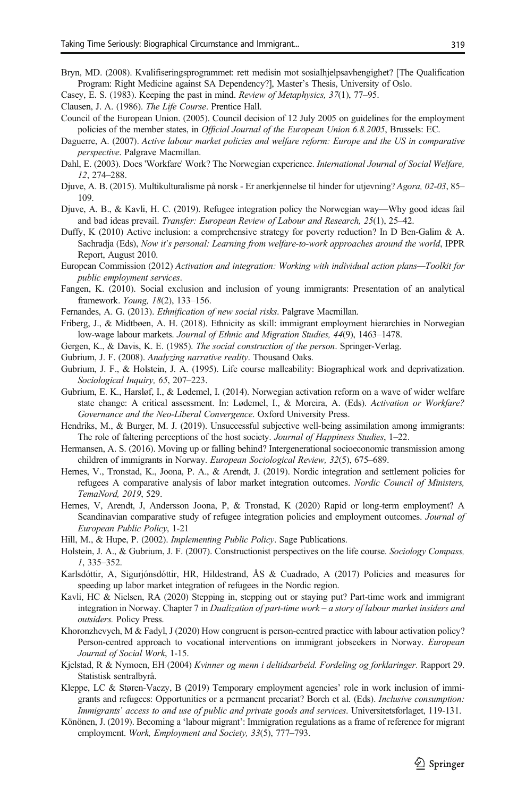- <span id="page-16-0"></span>Bryn, MD. (2008). Kvalifiseringsprogrammet: rett medisin mot sosialhjelpsavhengighet? [The Qualification Program: Right Medicine against SA Dependency?], Master's Thesis, University of Oslo.
- Casey, E. S. (1983). Keeping the past in mind. Review of Metaphysics, 37(1), 77–95.
- Clausen, J. A. (1986). The Life Course. Prentice Hall.
- Council of the European Union. (2005). Council decision of 12 July 2005 on guidelines for the employment policies of the member states, in Official Journal of the European Union 6.8.2005, Brussels: EC.
- Daguerre, A. (2007). Active labour market policies and welfare reform: Europe and the US in comparative perspective. Palgrave Macmillan.
- Dahl, E. (2003). Does 'Workfare' Work? The Norwegian experience. International Journal of Social Welfare, 12, 274–288.
- Djuve, A. B. (2015). Multikulturalisme på norsk Er anerkjennelse til hinder for utjevning? Agora, 02-03, 85– 109.
- Djuve, A. B., & Kavli, H. C. (2019). Refugee integration policy the Norwegian way—Why good ideas fail and bad ideas prevail. Transfer: European Review of Labour and Research, 25(1), 25–42.
- Duffy, K (2010) Active inclusion: a comprehensive strategy for poverty reduction? In D Ben-Galim & A. Sachradja (Eds), Now it's personal: Learning from welfare-to-work approaches around the world, IPPR Report, August 2010.
- European Commission (2012) Activation and integration: Working with individual action plans—Toolkit for public employment services.
- Fangen, K. (2010). Social exclusion and inclusion of young immigrants: Presentation of an analytical framework. Young, 18(2), 133–156.
- Fernandes, A. G. (2013). Ethnification of new social risks. Palgrave Macmillan.
- Friberg, J., & Midtbøen, A. H. (2018). Ethnicity as skill: immigrant employment hierarchies in Norwegian low-wage labour markets. Journal of Ethnic and Migration Studies, 44(9), 1463–1478.
- Gergen, K., & Davis, K. E. (1985). The social construction of the person. Springer-Verlag.
- Gubrium, J. F. (2008). Analyzing narrative reality. Thousand Oaks.
- Gubrium, J. F., & Holstein, J. A. (1995). Life course malleability: Biographical work and deprivatization. Sociological Inquiry, 65, 207–223.
- Gubrium, E. K., Harsløf, I., & Lødemel, I. (2014). Norwegian activation reform on a wave of wider welfare state change: A critical assessment. In: Lødemel, I., & Moreira, A. (Eds). Activation or Workfare? Governance and the Neo-Liberal Convergence. Oxford University Press.
- Hendriks, M., & Burger, M. J. (2019). Unsuccessful subjective well-being assimilation among immigrants: The role of faltering perceptions of the host society. Journal of Happiness Studies, 1–22.
- Hermansen, A. S. (2016). Moving up or falling behind? Intergenerational socioeconomic transmission among children of immigrants in Norway. European Sociological Review, 32(5), 675–689.
- Hernes, V., Tronstad, K., Joona, P. A., & Arendt, J. (2019). Nordic integration and settlement policies for refugees A comparative analysis of labor market integration outcomes. Nordic Council of Ministers, TemaNord, 2019, 529.
- Hernes, V, Arendt, J, Andersson Joona, P, & Tronstad, K (2020) Rapid or long-term employment? A Scandinavian comparative study of refugee integration policies and employment outcomes. Journal of European Public Policy, 1-21
- Hill, M., & Hupe, P. (2002). Implementing Public Policy. Sage Publications.
- Holstein, J. A., & Gubrium, J. F. (2007). Constructionist perspectives on the life course. Sociology Compass, 1, 335–352.
- Karlsdóttir, A, Sigurjónsdóttir, HR, Hildestrand, ÅS & Cuadrado, A (2017) Policies and measures for speeding up labor market integration of refugees in the Nordic region.
- Kavli, HC & Nielsen, RA (2020) Stepping in, stepping out or staying put? Part-time work and immigrant integration in Norway. Chapter 7 in Dualization of part-time work – a story of labour market insiders and outsiders. Policy Press.
- Khoronzhevych, M & Fadyl, J (2020) How congruent is person-centred practice with labour activation policy? Person-centred approach to vocational interventions on immigrant jobseekers in Norway. European Journal of Social Work, 1-15.
- Kjelstad, R & Nymoen, EH (2004) Kvinner og menn i deltidsarbeid. Fordeling og forklaringer. Rapport 29. Statistisk sentralbyrå.
- Kleppe, LC & Støren-Vaczy, B (2019) Temporary employment agencies' role in work inclusion of immigrants and refugees: Opportunities or a permanent precariat? Borch et al. (Eds). Inclusive consumption: Immigrants' access to and use of public and private goods and services. Universitetsforlaget, 119-131.
- Könönen, J. (2019). Becoming a 'labour migrant': Immigration regulations as a frame of reference for migrant employment. Work, Employment and Society, 33(5), 777-793.